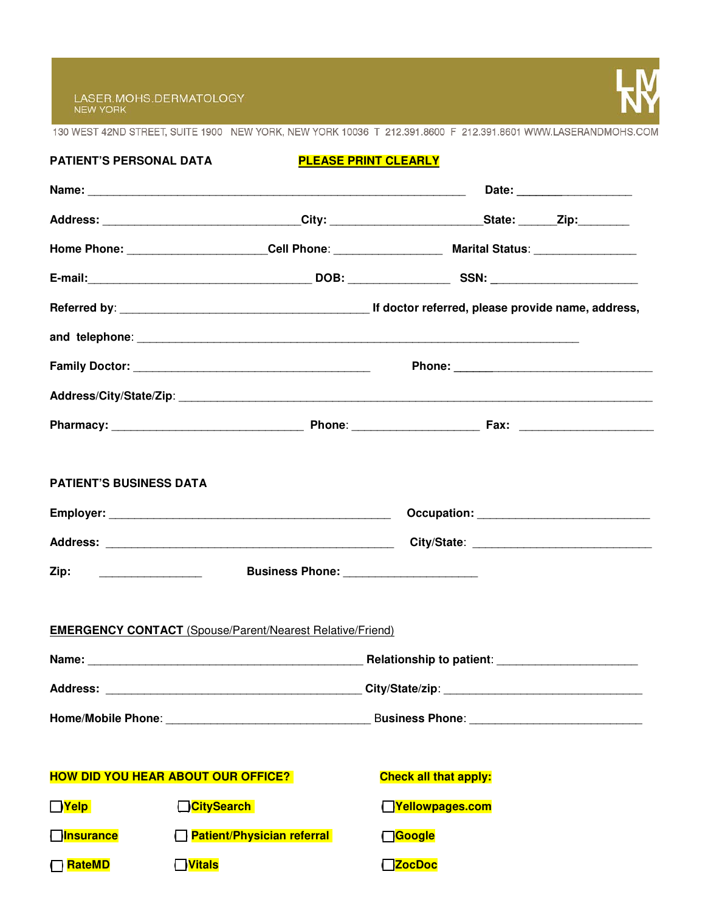

130 WEST 42ND STREET, SUITE 1900 NEW YORK, NEW YORK 10036 T 212.391.8600 F 212.391.8601 WWW.LASERANDMOHS.COM

| <b>PATIENT'S PERSONAL DATA</b>                             |                                                                                                                      | <b>PLEASE PRINT CLEARLY</b> |                                          |  |  |
|------------------------------------------------------------|----------------------------------------------------------------------------------------------------------------------|-----------------------------|------------------------------------------|--|--|
|                                                            |                                                                                                                      |                             |                                          |  |  |
|                                                            | Address: ________________________________City: ___________________________State: _______Zip:________                 |                             |                                          |  |  |
|                                                            | Home Phone: ________________________Cell Phone: _________________________________ Marital Status: __________________ |                             |                                          |  |  |
|                                                            |                                                                                                                      |                             |                                          |  |  |
|                                                            |                                                                                                                      |                             |                                          |  |  |
|                                                            |                                                                                                                      |                             |                                          |  |  |
|                                                            |                                                                                                                      |                             |                                          |  |  |
|                                                            |                                                                                                                      |                             |                                          |  |  |
|                                                            |                                                                                                                      |                             |                                          |  |  |
| <b>PATIENT'S BUSINESS DATA</b><br>Zip: ___________________ | <b>EMERGENCY CONTACT</b> (Spouse/Parent/Nearest Relative/Friend)                                                     |                             | Business Phone: ________________________ |  |  |
|                                                            |                                                                                                                      |                             |                                          |  |  |
|                                                            |                                                                                                                      |                             |                                          |  |  |
|                                                            |                                                                                                                      |                             |                                          |  |  |
|                                                            | <b>HOW DID YOU HEAR ABOUT OUR OFFICE?</b>                                                                            |                             | <b>Check all that apply:</b>             |  |  |
| $\Box$ Yelp                                                | <mark>∃</mark> CitySearch                                                                                            |                             | TYellowpages.com                         |  |  |
| <b>Onsurance</b>                                           | <b>Patient/Physician referral</b>                                                                                    |                             | □Google                                  |  |  |
| ] <mark>RateMD</mark>                                      | $\Box$ Vitals                                                                                                        |                             | <b>TzocDoc</b>                           |  |  |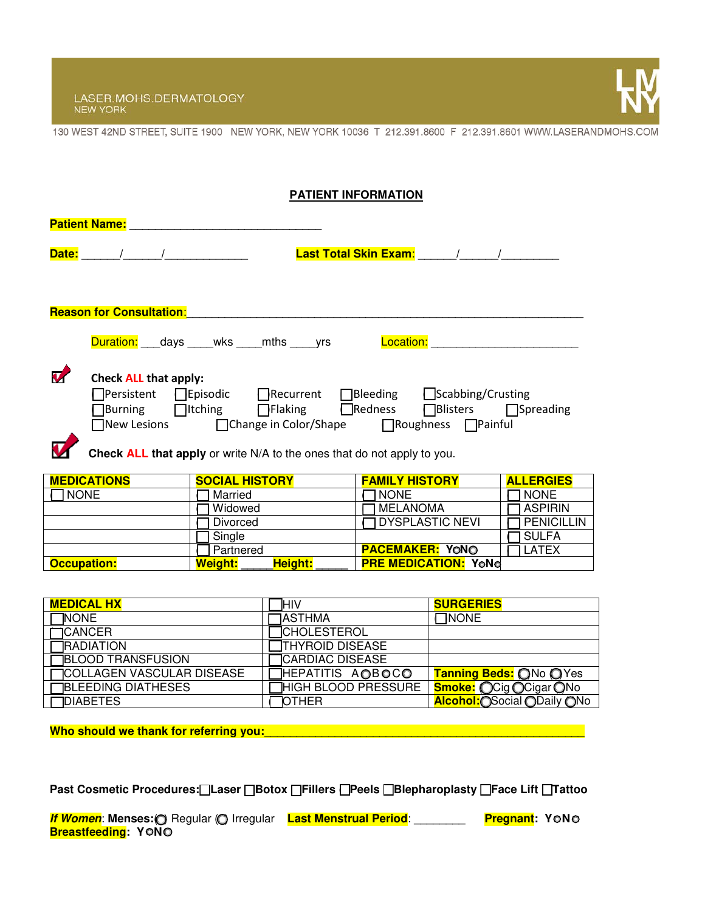LASER.MOHS.DERMATOLOGY<br>NEW YORK



130 WEST 42ND STREET, SUITE 1900 NEW YORK, NEW YORK 10036 T 212.391.8600 F 212.391.8601 WWW.LASERANDMOHS.COM

| <b>PATIENT INFORMATION</b>                                                                                                                                                                                                                                         |  |  |  |  |
|--------------------------------------------------------------------------------------------------------------------------------------------------------------------------------------------------------------------------------------------------------------------|--|--|--|--|
| <b>Patient Name: Example 2019</b>                                                                                                                                                                                                                                  |  |  |  |  |
| <b>Last Total Skin Exam:</b> And Allen And Allen And Allen And Allen And Allen And Allen A                                                                                                                                                                         |  |  |  |  |
|                                                                                                                                                                                                                                                                    |  |  |  |  |
| <b>Reason for Consultation:</b>                                                                                                                                                                                                                                    |  |  |  |  |
| <b>Location:</b> with the control of the control of the control of the control of the control of the control of the control of the control of the control of the control of the control of the control of the control of the contro<br>Duration: days wks mths yrs |  |  |  |  |
| Check ALL that apply:<br>  Persistent   Episodic   Recurrent   Bleeding   Scabbing/Crusting                                                                                                                                                                        |  |  |  |  |
| ]Burning □Itching □Flaking □Redness □Blisters □Spreading<br>□New Lesions     □Change in Color/Shape    □Roughness □Painful                                                                                                                                         |  |  |  |  |
| Check ALL that apply or write N/A to the ones that do not apply to you.                                                                                                                                                                                            |  |  |  |  |

| <b>MEDICATIONS</b> | <b>SOCIAL HISTORY</b>     | <b>FAMILY HISTORY</b>       | <b>ALLERGIES</b>   |
|--------------------|---------------------------|-----------------------------|--------------------|
| <b>NONE</b>        | Married                   | 1 NONE                      | 1 NONE             |
|                    | Widowed                   | MELANOMA                    | 1 ASPIRIN          |
|                    | Divorced                  | <b>TDYSPLASTIC NEVI</b>     | <b>TPENICILLIN</b> |
|                    | Single                    |                             | I SULFA            |
|                    | Partnered                 | <b>PACEMAKER: YONO</b>      | <b>LATEX</b>       |
| <b>Occupation:</b> | Height:<br><b>Weight:</b> | <b>PRE MEDICATION: YONG</b> |                    |

| <b>MEDICAL HX</b>                 | <b>IHIV</b>                | <b>SURGERIES</b>              |
|-----------------------------------|----------------------------|-------------------------------|
| <b>NONE</b>                       | <b>TASTHMA</b>             | <b>TNONE</b>                  |
| $\Box$ CANCER                     | <b>TCHOLESTEROL</b>        |                               |
| <b>TRADIATION</b>                 | <b>THYROID DISEASE</b>     |                               |
| <b>BLOOD TRANSFUSION</b>          | <b>TCARDIAC DISEASE</b>    |                               |
| <b>TCOLLAGEN VASCULAR DISEASE</b> | HEPATITIS AOBOCO           | Tanning Beds: ONo OYes        |
| <b>TBLEEDING DIATHESES</b>        | <b>HIGH BLOOD PRESSURE</b> | <b>Smoke: OCig OCigar ONo</b> |
| <b>TDIABETES</b>                  | <b>TOTHER</b>              | Alcohol: OSocial ODaily ONo   |

**Who should we thank for referring you:**\_\_\_\_\_\_\_\_\_\_\_\_\_\_\_\_\_\_\_\_\_\_\_\_\_\_\_\_\_\_\_\_\_\_\_\_\_\_\_\_\_\_\_\_\_\_\_\_\_\_

**Past Cosmetic Procedures:**( )**Laser** ( )**Botox** ( )**Fillers** ( )**Peels** ( )**Blepharoplasty** ( )**Face Lift** ( )**Tattoo**

**If Women**: Menses: O Regular (O Irregular Last Menstrual Period: \_\_\_\_\_\_\_ Pregnant: YONO **Breastfeeding: YONO**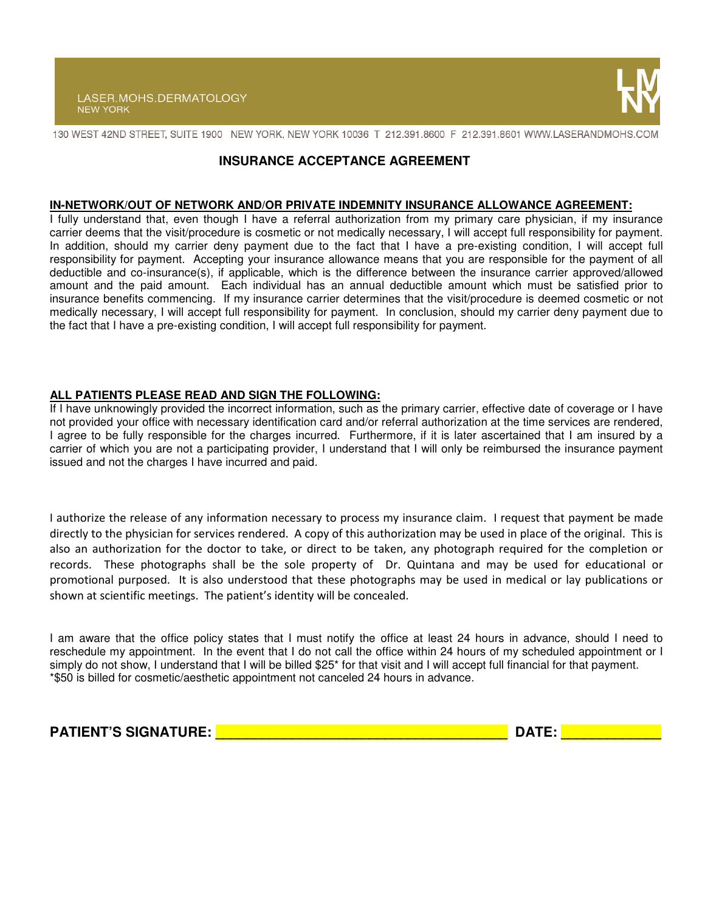

130 WEST 42ND STREET, SUITE 1900 NEW YORK, NEW YORK 10036 T 212.391.8600 F 212.391.8601 WWW.LASERANDMOHS.COM

### **INSURANCE ACCEPTANCE AGREEMENT**

#### **IN-NETWORK/OUT OF NETWORK AND/OR PRIVATE INDEMNITY INSURANCE ALLOWANCE AGREEMENT:**

I fully understand that, even though I have a referral authorization from my primary care physician, if my insurance carrier deems that the visit/procedure is cosmetic or not medically necessary, I will accept full responsibility for payment. In addition, should my carrier deny payment due to the fact that I have a pre-existing condition, I will accept full responsibility for payment. Accepting your insurance allowance means that you are responsible for the payment of all deductible and co-insurance(s), if applicable, which is the difference between the insurance carrier approved/allowed amount and the paid amount. Each individual has an annual deductible amount which must be satisfied prior to insurance benefits commencing. If my insurance carrier determines that the visit/procedure is deemed cosmetic or not medically necessary, I will accept full responsibility for payment. In conclusion, should my carrier deny payment due to the fact that I have a pre-existing condition, I will accept full responsibility for payment.

### **ALL PATIENTS PLEASE READ AND SIGN THE FOLLOWING:**

If I have unknowingly provided the incorrect information, such as the primary carrier, effective date of coverage or I have not provided your office with necessary identification card and/or referral authorization at the time services are rendered, I agree to be fully responsible for the charges incurred. Furthermore, if it is later ascertained that I am insured by a carrier of which you are not a participating provider, I understand that I will only be reimbursed the insurance payment issued and not the charges I have incurred and paid.

I authorize the release of any information necessary to process my insurance claim. I request that payment be made directly to the physician for services rendered. A copy of this authorization may be used in place of the original. This is also an authorization for the doctor to take, or direct to be taken, any photograph required for the completion or records. These photographs shall be the sole property of Dr. Quintana and may be used for educational or promotional purposed. It is also understood that these photographs may be used in medical or lay publications or shown at scientific meetings. The patient's identity will be concealed.

I am aware that the office policy states that I must notify the office at least 24 hours in advance, should I need to reschedule my appointment. In the event that I do not call the office within 24 hours of my scheduled appointment or I simply do not show, I understand that I will be billed \$25<sup>\*</sup> for that visit and I will accept full financial for that payment. \*\$50 is billed for cosmetic/aesthetic appointment not canceled 24 hours in advance.

**PATIENT'S SIGNATURE: \_\_\_\_\_\_\_\_\_\_\_\_\_\_\_\_\_\_\_\_\_\_\_\_\_\_\_\_\_\_\_\_\_\_\_\_\_\_ DATE: \_\_\_\_\_\_\_\_\_\_\_\_\_**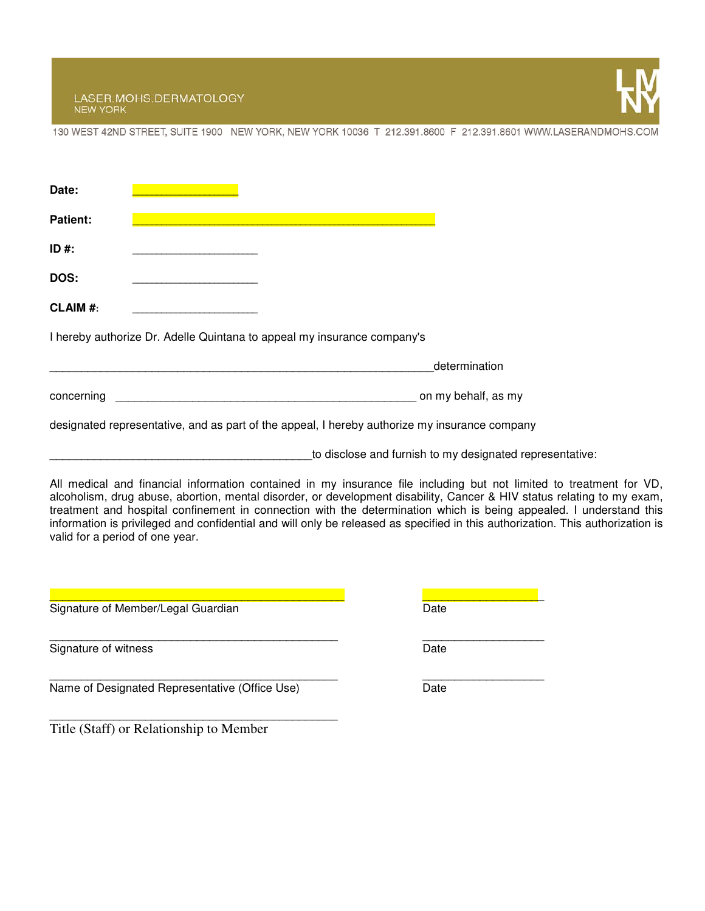LASER.MOHS.DERMATOLOGY<br>NEW YORK



130 WEST 42ND STREET, SUITE 1900 NEW YORK, NEW YORK 10036 T 212.391.8600 F 212.391.8601 WWW.LASERANDMOHS.COM

| Date:                           |                                                                         |                                                                                                                                                                                                                                                                                                                                                                                                                                                                                                       |  |
|---------------------------------|-------------------------------------------------------------------------|-------------------------------------------------------------------------------------------------------------------------------------------------------------------------------------------------------------------------------------------------------------------------------------------------------------------------------------------------------------------------------------------------------------------------------------------------------------------------------------------------------|--|
| <b>Patient:</b>                 |                                                                         |                                                                                                                                                                                                                                                                                                                                                                                                                                                                                                       |  |
| $ID#$ :                         |                                                                         |                                                                                                                                                                                                                                                                                                                                                                                                                                                                                                       |  |
| <b>DOS:</b>                     |                                                                         |                                                                                                                                                                                                                                                                                                                                                                                                                                                                                                       |  |
| <b>CLAIM #:</b>                 |                                                                         |                                                                                                                                                                                                                                                                                                                                                                                                                                                                                                       |  |
|                                 | I hereby authorize Dr. Adelle Quintana to appeal my insurance company's |                                                                                                                                                                                                                                                                                                                                                                                                                                                                                                       |  |
|                                 |                                                                         | determination                                                                                                                                                                                                                                                                                                                                                                                                                                                                                         |  |
| concerning                      |                                                                         | on my behalf, as my                                                                                                                                                                                                                                                                                                                                                                                                                                                                                   |  |
|                                 |                                                                         | designated representative, and as part of the appeal, I hereby authorize my insurance company                                                                                                                                                                                                                                                                                                                                                                                                         |  |
|                                 |                                                                         | to disclose and furnish to my designated representative:                                                                                                                                                                                                                                                                                                                                                                                                                                              |  |
| valid for a period of one year. |                                                                         | All medical and financial information contained in my insurance file including but not limited to treatment for VD,<br>alcoholism, drug abuse, abortion, mental disorder, or development disability, Cancer & HIV status relating to my exam,<br>treatment and hospital confinement in connection with the determination which is being appealed. I understand this<br>information is privileged and confidential and will only be released as specified in this authorization. This authorization is |  |
|                                 | Signature of Member/Legal Guardian                                      | Date                                                                                                                                                                                                                                                                                                                                                                                                                                                                                                  |  |
| Signature of witness            |                                                                         | Date                                                                                                                                                                                                                                                                                                                                                                                                                                                                                                  |  |
|                                 | Name of Designated Representative (Office Use)                          | Date                                                                                                                                                                                                                                                                                                                                                                                                                                                                                                  |  |
|                                 | Title (Staff) or Relationship to Member                                 |                                                                                                                                                                                                                                                                                                                                                                                                                                                                                                       |  |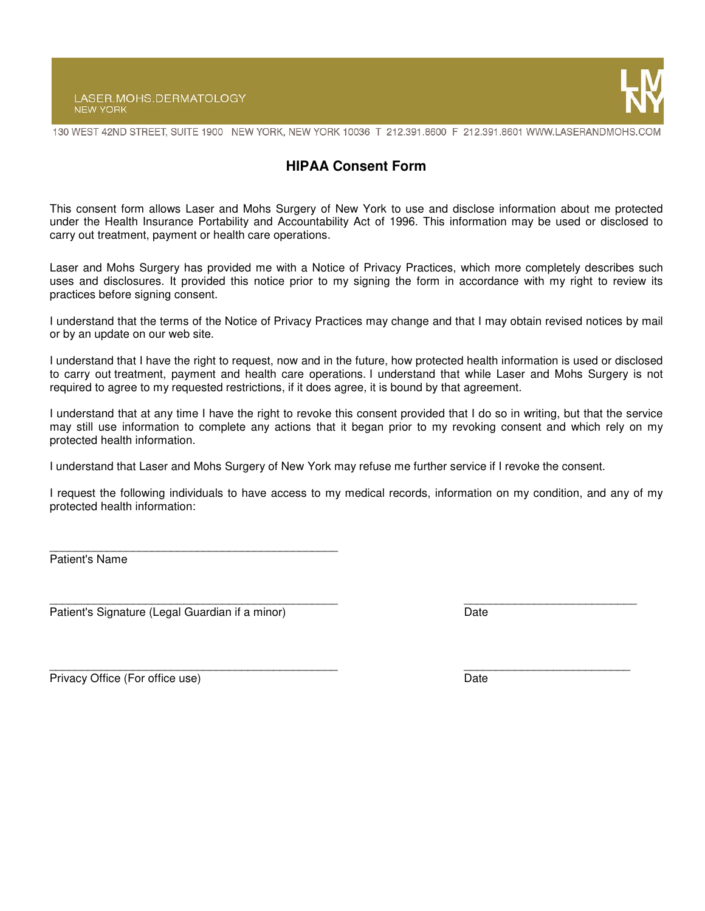#### LASER.MOHS.DERMATOLOGY **NEW YORK**



130 WEST 42ND STREET, SUITE 1900 NEW YORK, NEW YORK 10036 T 212.391.8600 F 212.391.8601 WWW.LASERANDMOHS.COM

# **HIPAA Consent Form**

This consent form allows Laser and Mohs Surgery of New York to use and disclose information about me protected under the Health Insurance Portability and Accountability Act of 1996. This information may be used or disclosed to carry out treatment, payment or health care operations.

Laser and Mohs Surgery has provided me with a Notice of Privacy Practices, which more completely describes such uses and disclosures. It provided this notice prior to my signing the form in accordance with my right to review its practices before signing consent.

I understand that the terms of the Notice of Privacy Practices may change and that I may obtain revised notices by mail or by an update on our web site.

I understand that I have the right to request, now and in the future, how protected health information is used or disclosed to carry out treatment, payment and health care operations. I understand that while Laser and Mohs Surgery is not required to agree to my requested restrictions, if it does agree, it is bound by that agreement.

I understand that at any time I have the right to revoke this consent provided that I do so in writing, but that the service may still use information to complete any actions that it began prior to my revoking consent and which rely on my protected health information.

I understand that Laser and Mohs Surgery of New York may refuse me further service if I revoke the consent.

I request the following individuals to have access to my medical records, information on my condition, and any of my protected health information:

Patient's Name

\_\_\_\_\_\_\_\_\_\_\_\_\_\_\_\_\_\_\_\_\_\_\_\_\_\_\_\_\_\_\_\_\_\_\_\_\_\_\_\_\_\_\_\_\_ \_\_\_\_\_\_\_\_\_\_\_\_\_\_\_\_\_\_\_\_\_\_\_\_\_\_\_ Patient's Signature (Legal Guardian if a minor) Date

 $\overline{\phantom{a}}$  , and the set of the set of the set of the set of the set of the set of the set of the set of the set of the set of the set of the set of the set of the set of the set of the set of the set of the set of the s

Privacy Office (For office use) **Date** Date of the United States of the United States of the United States of the United States of the United States of the United States of the United States of the United States of the Uni

\_\_\_\_\_\_\_\_\_\_\_\_\_\_\_\_\_\_\_\_\_\_\_\_\_\_\_\_\_\_\_\_\_\_\_\_\_\_\_\_\_\_\_\_\_ \_\_\_\_\_\_\_\_\_\_\_\_\_\_\_\_\_\_\_\_\_\_\_\_\_\_